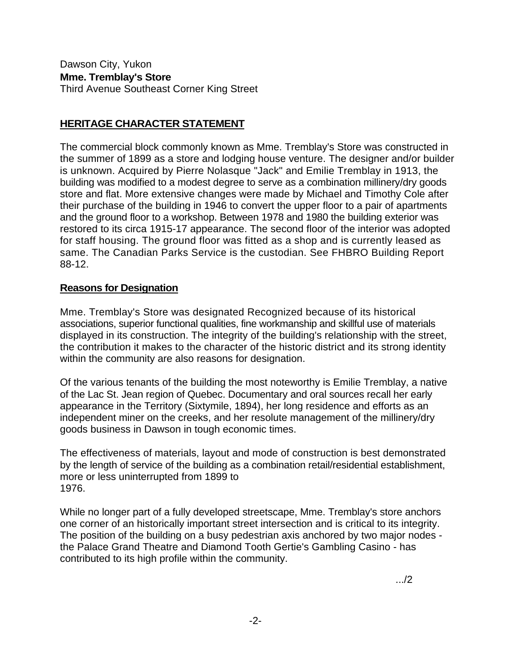Dawson City, Yukon **Mme. Tremblay's Store**  Third Avenue Southeast Corner King Street

## **HERITAGE CHARACTER STATEMENT**

The commercial block commonly known as Mme. Tremblay's Store was constructed in the summer of 1899 as a store and lodging house venture. The designer and/or builder is unknown. Acquired by Pierre Nolasque "Jack" and Emilie Tremblay in 1913, the building was modified to a modest degree to serve as a combination millinery/dry goods store and flat. More extensive changes were made by Michael and Timothy Cole after their purchase of the building in 1946 to convert the upper floor to a pair of apartments and the ground floor to a workshop. Between 1978 and 1980 the building exterior was restored to its circa 1915-17 appearance. The second floor of the interior was adopted for staff housing. The ground floor was fitted as a shop and is currently leased as same. The Canadian Parks Service is the custodian. See FHBRO Building Report 88-12.

## **Reasons for Designation**

Mme. Tremblay's Store was designated Recognized because of its historical associations, superior functional qualities, fine workmanship and skillful use of materials displayed in its construction. The integrity of the building's relationship with the street, the contribution it makes to the character of the historic district and its strong identity within the community are also reasons for designation.

Of the various tenants of the building the most noteworthy is Emilie Tremblay, a native of the Lac St. Jean region of Quebec. Documentary and oral sources recall her early appearance in the Territory (Sixtymile, 1894), her long residence and efforts as an independent miner on the creeks, and her resolute management of the millinery/dry goods business in Dawson in tough economic times.

The effectiveness of materials, layout and mode of construction is best demonstrated by the length of service of the building as a combination retail/residential establishment, more or less uninterrupted from 1899 to 1976.

While no longer part of a fully developed streetscape, Mme. Tremblay's store anchors one corner of an historically important street intersection and is critical to its integrity. The position of the building on a busy pedestrian axis anchored by two major nodes the Palace Grand Theatre and Diamond Tooth Gertie's Gambling Casino - has contributed to its high profile within the community.

.../2